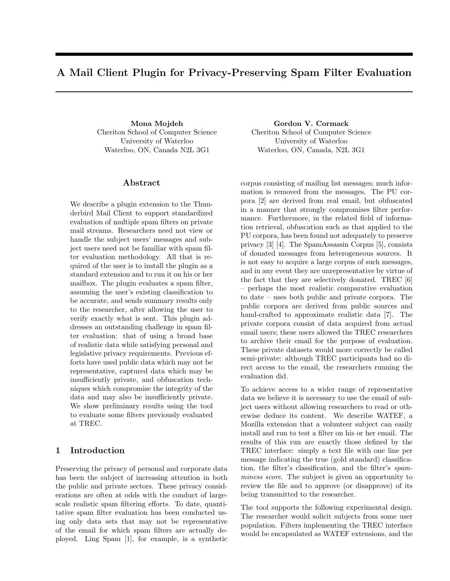# A Mail Client Plugin for Privacy-Preserving Spam Filter Evaluation

Mona Mojdeh Cheriton School of Computer Science University of Waterloo Waterloo, ON, Canada N2L 3G1

#### Abstract

We describe a plugin extension to the Thunderbird Mail Client to support standardized evaluation of multiple spam filters on private mail streams. Researchers need not view or handle the subject users' messages and subject users need not be familiar with spam filter evaluation methodology. All that is required of the user is to install the plugin as a standard extension and to run it on his or her mailbox. The plugin evaluates a spam filter, assuming the user's existing classification to be accurate, and sends summary results only to the researcher, after allowing the user to verify exactly what is sent. This plugin addresses an outstanding challenge in spam filter evaluation: that of using a broad base of realistic data while satisfying personal and legislative privacy requirements. Previous efforts have used public data which may not be representative, captured data which may be insufficiently private, and obfuscation techniques which compromise the integrity of the data and may also be insufficiently private. We show preliminary results using the tool to evaluate some filters previously evaluated at TREC.

## 1 Introduction

Preserving the privacy of personal and corporate data has been the subject of increasing attention in both the public and private sectors. These privacy considerations are often at odds with the conduct of largescale realistic spam filtering efforts. To date, quantitative spam filter evaluation has been conducted using only data sets that may not be representative of the email for which spam filters are actually deployed. Ling Spam [1], for example, is a synthetic

Gordon V. Cormack Cheriton School of Computer Science University of Waterloo Waterloo, ON, Canada, N2L 3G1

corpus consisting of mailing list messages; much information is removed from the messages. The PU corpora [2] are derived from real email, but obfuscated in a manner that strongly compromises filter performance. Furthermore, in the related field of information retrieval, obfuscation such as that applied to the PU corpora, has been found not adequately to preserve privacy [3] [4]. The SpamAssassin Corpus [5], consists of donated messages from heterogeneous sources. It is not easy to acquire a large corpus of such messages, and in any event they are unrepresentative by virtue of the fact that they are selectively donated. TREC [6] – perhaps the most realistic comparative evaluation to date – uses both public and private corpora. The public corpora are derived from public sources and hand-crafted to approximate realistic data [7]. The private corpora consist of data acquired from actual email users; these users allowed the TREC researchers to archive their email for the purpose of evaluation. These private datasets would more correctly be called semi-private: although TREC participants had no direct access to the email, the researchers running the evaluation did.

To achieve access to a wider range of representative data we believe it is necessary to use the email of subject users without allowing researchers to read or otherwise deduce its content. We describe WATEF, a Mozilla extension that a volunteer subject can easily install and run to test a filter on his or her email. The results of this run are exactly those defined by the TREC interface: simply a text file with one line per message indicating the true (gold standard) classification, the filter's classification, and the filter's spamminess score. The subject is given an opportunity to review the file and to approve (or disapprove) of its being transmitted to the researcher.

The tool supports the following experimental design. The researcher would solicit subjects from some user population. Filters implementing the TREC interface would be encapsulated as WATEF extensions, and the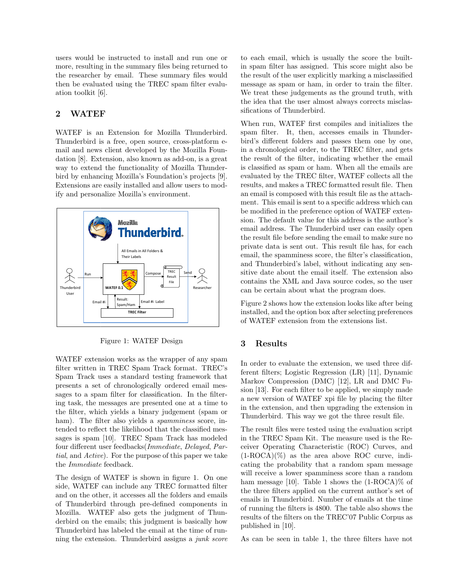users would be instructed to install and run one or more, resulting in the summary files being returned to the researcher by email. These summary files would then be evaluated using the TREC spam filter evaluation toolkit [6].

# 2 WATEF

WATEF is an Extension for Mozilla Thunderbird. Thunderbird is a free, open source, cross-platform email and news client developed by the Mozilla Foundation [8]. Extension, also known as add-on, is a great way to extend the functionality of Mozilla Thunderbird by enhancing Mozilla's Foundation's projects [9]. Extensions are easily installed and allow users to modify and personalize Mozilla's environment.



Figure 1: WATEF Design

WATEF extension works as the wrapper of any spam filter written in TREC Spam Track format. TREC's Spam Track uses a standard testing framework that presents a set of chronologically ordered email messages to a spam filter for classification. In the filtering task, the messages are presented one at a time to the filter, which yields a binary judgement (spam or ham). The filter also yields a *spamminess* score, intended to reflect the likelihood that the classified messages is spam [10]. TREC Spam Track has modeled four different user feedbacks(Immediate, Delayed, Partial, and Active). For the purpose of this paper we take the Immediate feedback.

The design of WATEF is shown in figure 1. On one side, WATEF can include any TREC formatted filter and on the other, it accesses all the folders and emails of Thunderbird through pre-defined components in Mozilla. WATEF also gets the judgment of Thunderbird on the emails; this judgment is basically how Thunderbird has labeled the email at the time of running the extension. Thunderbird assigns a junk score to each email, which is usually the score the builtin spam filter has assigned. This score might also be the result of the user explicitly marking a misclassified message as spam or ham, in order to train the filter. We treat these judgements as the ground truth, with the idea that the user almost always corrects misclassifications of Thunderbird.

When run, WATEF first compiles and initializes the spam filter. It, then, accesses emails in Thunderbird's different folders and passes them one by one, in a chronological order, to the TREC filter, and gets the result of the filter, indicating whether the email is classified as spam or ham. When all the emails are evaluated by the TREC filter, WATEF collects all the results, and makes a TREC formatted result file. Then an email is composed with this result file as the attachment. This email is sent to a specific address which can be modified in the preference option of WATEF extension. The default value for this address is the author's email address. The Thunderbird user can easily open the result file before sending the email to make sure no private data is sent out. This result file has, for each email, the spamminess score, the filter's classification, and Thunderbird's label, without indicating any sensitive date about the email itself. The extension also contains the XML and Java source codes, so the user can be certain about what the program does.

Figure 2 shows how the extension looks like after being installed, and the option box after selecting preferences of WATEF extension from the extensions list.

## 3 Results

In order to evaluate the extension, we used three different filters; Logistic Regression (LR) [11], Dynamic Markov Compression (DMC) [12], LR and DMC Fusion [13]. For each filter to be applied, we simply made a new version of WATEF xpi file by placing the filter in the extension, and then upgrading the extension in Thunderbird. This way we got the three result file.

The result files were tested using the evaluation script in the TREC Spam Kit. The measure used is the Receiver Operating Characteristic (ROC) Curves, and  $(1-ROCA)(\%)$  as the area above ROC curve, indicating the probability that a random spam message will receive a lower spamminess score than a random ham message [10]. Table 1 shows the  $(1\text{-ROCA})\%$  of the three filters applied on the current author's set of emails in Thunderbird. Number of emails at the time of running the filters is 4800. The table also shows the results of the filters on the TREC'07 Public Corpus as published in [10].

As can be seen in table 1, the three filters have not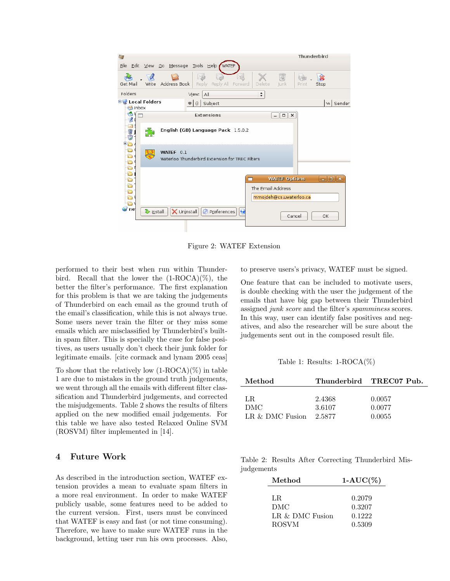| S                                                                                   | Thunderbird                                                                                                                                                                                                                                                                                                                                                                                                                                                                        |
|-------------------------------------------------------------------------------------|------------------------------------------------------------------------------------------------------------------------------------------------------------------------------------------------------------------------------------------------------------------------------------------------------------------------------------------------------------------------------------------------------------------------------------------------------------------------------------|
| Edit View Go Message Tools Help WATEF<br><b>File</b>                                |                                                                                                                                                                                                                                                                                                                                                                                                                                                                                    |
| YÓ.<br>Write Address Book<br>Reply All Forward<br><b>Reply</b><br>Get Mail          | $\overline{\circ}$<br>Delete<br>Junk<br>Stop<br>Print                                                                                                                                                                                                                                                                                                                                                                                                                              |
| Folders<br>View:<br>All                                                             | $\div$                                                                                                                                                                                                                                                                                                                                                                                                                                                                             |
| <b>ELE</b> Local Folders<br>Subject<br><b>B</b> Inbox                               | w Sender                                                                                                                                                                                                                                                                                                                                                                                                                                                                           |
| <b>Extensions</b><br>$\mathbf{Z}$                                                   | $ \Box$ $\times$                                                                                                                                                                                                                                                                                                                                                                                                                                                                   |
| English (GB) Language Pack 1.5.0.2<br>$5^{\circ}$                                   |                                                                                                                                                                                                                                                                                                                                                                                                                                                                                    |
| <b>DODDDDDDDDGD</b><br>WATEF 0.1<br>Waterloo Thunderbird Extension for TREC Filters |                                                                                                                                                                                                                                                                                                                                                                                                                                                                                    |
|                                                                                     |                                                                                                                                                                                                                                                                                                                                                                                                                                                                                    |
|                                                                                     | $\begin{array}{c c c c c} \hline \multicolumn{3}{c }{\mathbf{m}} & \multicolumn{3}{c }{\mathbf{m}} & \multicolumn{3}{c }{\mathbf{m}} & \multicolumn{3}{c }{\mathbf{m}} & \multicolumn{3}{c }{\mathbf{m}} & \multicolumn{3}{c }{\mathbf{m}} & \multicolumn{3}{c }{\mathbf{m}} & \multicolumn{3}{c }{\mathbf{m}} & \multicolumn{3}{c }{\mathbf{m}} & \multicolumn{3}{c }{\mathbf{m}} & \multicolumn{3}{c }{\mathbf{m}} & \multicolumn{3}{c }{\mathbf{m$<br><b>WATEF Options</b><br>m |
|                                                                                     | The Email Address                                                                                                                                                                                                                                                                                                                                                                                                                                                                  |
|                                                                                     | mmojdeh@cs.uwaterloo.ca                                                                                                                                                                                                                                                                                                                                                                                                                                                            |
| ne <sup></sup><br>Preferences<br>X Uninstall<br>> Install<br>$\ddot{\bullet}$       | OK<br>Cancel                                                                                                                                                                                                                                                                                                                                                                                                                                                                       |

Figure 2: WATEF Extension

performed to their best when run within Thunderbird. Recall that the lower the  $(1-ROCA)(\%)$ , the better the filter's performance. The first explanation for this problem is that we are taking the judgements of Thunderbird on each email as the ground truth of the email's classification, while this is not always true. Some users never train the filter or they miss some emails which are misclassified by Thunderbird's builtin spam filter. This is specially the case for false positives, as users usually don't check their junk folder for legitimate emails. [cite cormack and lynam 2005 ceas]

To show that the relatively low  $(1\text{-ROCA})(\%)$  in table 1 are due to mistakes in the ground truth judgements, we went through all the emails with different filter classification and Thunderbird judgements, and corrected the misjudgements. Table 2 shows the results of filters applied on the new modified email judgements. For this table we have also tested Relaxed Online SVM (ROSVM) filter implemented in [14].

#### 4 Future Work

As described in the introduction section, WATEF extension provides a mean to evaluate spam filters in a more real environment. In order to make WATEF publicly usable, some features need to be added to the current version. First, users must be convinced that WATEF is easy and fast (or not time consuming). Therefore, we have to make sure WATEF runs in the background, letting user run his own processes. Also,

to preserve users's privacy, WATEF must be signed.

One feature that can be included to motivate users, is double checking with the user the judgement of the emails that have big gap between their Thunderbird assigned junk score and the filter's spamminess scores. In this way, user can identify false positives and negatives, and also the researcher will be sure about the judgements sent out in the composed result file.

Table 1: Results: 1-ROCA(%)

| Method          |        | Thunderbird TREC07 Pub. |
|-----------------|--------|-------------------------|
| T.R.            | 2.4368 | 0.0057                  |
| DMC             | 3.6107 | 0.0077                  |
| LR & DMC Fusion | 2.5877 | 0.0055                  |

Table 2: Results After Correcting Thunderbird Misjudgements

| Method            | $1-AUC(\%)$ |
|-------------------|-------------|
|                   |             |
| LR.               | 0.2079      |
| DMC               | 0.3207      |
| LR $&$ DMC Fusion | 0.1222      |
| <b>ROSVM</b>      | 0.5309      |
|                   |             |